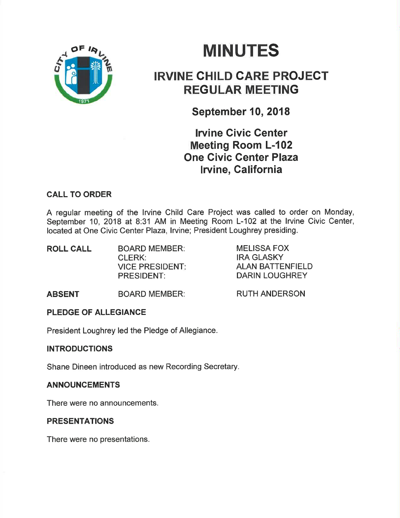

# **MINUTES**

## **IRVINE CHILD CARE PROJECT** REGULAR MEETING

September 10,2018

**Irvine Civic Center** Meeting Room L-102 One Civic Center Plaza lrvine, Galifornia

## CALL TO ORDER

A regular meeting of the lrvine Child Care Project was called to order on Monday, September 10, 2018 at 8:31 AM in Meeting Room L-102 at the lrvine Civic Center, located at One Civic Center Plaza, Irvine; President Loughrey presiding.

| <b>BOARD MEMBER:</b>   |  |
|------------------------|--|
| <b>CLERK:</b>          |  |
| <b>VICE PRESIDENT:</b> |  |
| <b>PRESIDENT:</b>      |  |
|                        |  |

MELISSA FOX IRA GLASKY ALAN BATTENFIELD DARIN LOUGHREY

ABSENT BOARD MEMBER: RUTH ANDERSON

## PLEDGE OF ALLEGIANCE

President Loughrey led the Pledge of Allegiance.

### INTRODUCTIONS

Shane Dineen introduced as new Recording Secretary.

### ANNOUNCEMENTS

There were no announcements.

## **PRESENTATIONS**

There were no presentations.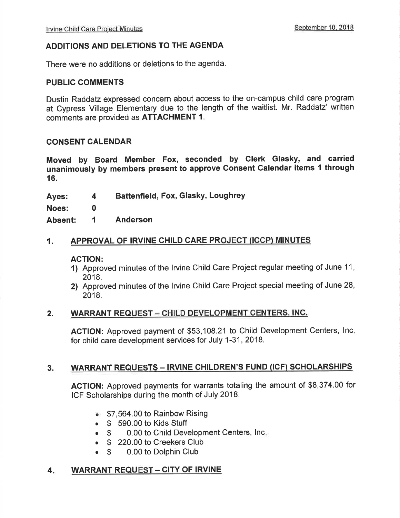#### ADDITIONS AND DELETIONS TO THE AGENDA

There were no additions or deletions to the agenda.

#### PUBLIC COMMENTS

Dustin Raddatz expressed concern about access to the on-campus child care program at Cypress Village Elementary due to the length of the waitlist. Mr. Raddatz' written comments are provided as ATTACHMENT 1.

#### CONSENT CALENDAR

Moved by Board Member Fox, seconded by Glerk Glasky, and carried unanimously by members present to approve Gonsent Calendar items 1 through 16.

Ayes: Battenfield, Fox, Glasky, LoughreY 4

Noes: 0

Absent: I Anderson

#### 1. APPROVAL OF IRVINE CHILD CARE PROJECT (ICCP) MINUTES

#### ACTION:

- 1) Approved minutes of the lrvine Child Care Project regular meeting of June 11, 2018.
- 2) Approved minutes of the lrvine Child Care Project special meeting of June 28, 2018.

#### 2. WARRANT REQUEST - CHILD DEVELOPMENT CENTERS, INC.

AGTION: Approved payment of \$53,108.21 to Child Development Centers, lnc for child care development services for July 1-31,2018.

#### 3. WARRANT REQUESTS - IRVINE CHILDREN'S FUND (ICF) SCHOLARSHIPS

AGTION: Approved payments for warrants totaling the amount of \$8,374.00 for ICF Scholarships during the month of July 2018.

- \$7,564.00 to Rainbow Rising
- $\begin{array}{cc} \text{\textbullet} & \text{\texttt{\$}} & 590.00 \text{ to Kids Stuttgart} \\ \text{\textbullet} & \text{\texttt{\$}} & 0.00 \text{ to Child Dev} \end{array}$
- 0.00 to Child Development Centers, Inc.
- \$ 220.00 to Creekers Club<br>● \$ 0.00 to Dolphin Club
- 0.00 to Dolphin Club

#### 4. WARRANT REQUEST - CITY OF IRVINE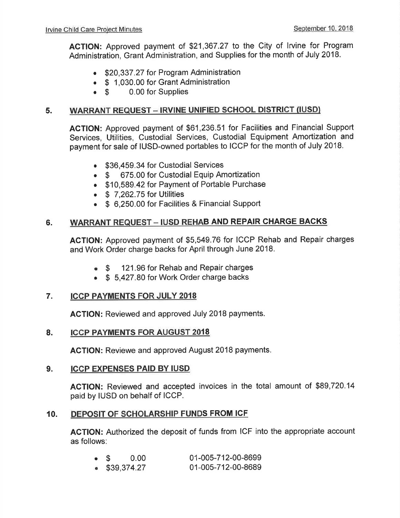AGTION: Approved payment of \$21 ,367.27 to the City of lrvine for Program Administration, Grant Administration, and Supplies for the month of July 2018.

- \$20,337.27 for Program Administration
- **S** 1,030.00 for Grant Administration<br> **S** 0.00 for Supplies
- 0.00 for Supplies

#### WARRANT REQUEST - IRVINE UNIFIED SCHOOL DISTRICT (IUSD) 5.

ACTION: Approved payment of \$61 ,236.51 for Facilities and Financial Support Services, Utilities, Custodial Services, Custodial Equipment Amortization and payment for sale of IUSD-owned portables to ICCP for the month of July 2018.

- \$36,459.34 for Custodial Services
- \$ 675.00 for Custodial Equip Amortization
- . \$10,589.42 for Payment of Portable Purchase
- $\bullet$  \$ 7.262.75 for Utilities
- \$ 6,250.00 for Facilities & Financial Support

### 6. WARRANT REQUEST - IUSD REHAB AND REPAIR CHARGE BACKS

AGTION: Approved payment of \$5,549.76 for ICCP Rehab and Repair charges and Work Order charge backs for April through June 2018.

- o \$ 121.96 for Rehab and Repair charges
- \$ 5,427.80 for Work Order charge backs

### 7. ICCP PAYMENTS FOR JULY 2OI8

AGTION: Reviewed and approved July 2018 payments.

### 8. ICCP PAYMENTS FOR AUGUST 2018

ACTION: Reviewe and approved August 2018 payments.

#### 9. ICCP EXPENSES PAID BY IUSD

AGTION: Reviewed and accepted invoices in the total amount of \$89,720.14 paid by IUSD on behalf of ICCP.

### 10. DEPOSIT OF SCHOLARSHIP FUNDS FROM ICF

ACTION: Authorized the deposit of funds from ICF into the appropriate account as follows:

| $\bullet$ \$ 0.00 |  | 01-005-712-00-8699 |
|-------------------|--|--------------------|
| \$39,374.27       |  | 01-005-712-00-8689 |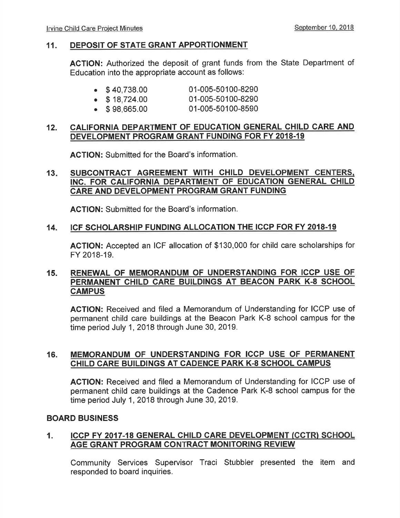#### 11. DEPOSIT OF STATE GRANT APPORTIONMENT

AGTION: Authorized the deposit of grant funds from the State Department of Education into the appropriate account as follows:

| $\bullet$ \$40,738.00 | 01-005-50100-8290 |
|-----------------------|-------------------|

- $\bullet$  \$ 18,724.00 01-005-50100-8290
- . \$ 98,665.00 01-005-50100-8590

#### 12. CALIFORNIA DEPARTMENT OF EDUCATION GENERAL CHILD CARE AND DEVELOPMENT PROGRAM GRANT FUNDING FOR FY 2018-19

ACTION: Submitted for the Board's information.

#### 13 SUBCONTRACT AGREEMENT WITH CHILD DEVELOPMENT CENTERS. INC. FOR CALIFORNIA DEPARTMENT OF EDUCATION GENERAL CHILD CARE AND DEVELOPMENT PROGRAM GRANT FUNDING

ACTION: Submitted for the Board's information.

#### 14. ICF SCHOLARSHIP FUNDING ALLOCATION THE ICCP FOR FY 2018.19

ACTION: Accepted an ICF allocation of \$130,000 for child care scholarships for FY 2018-19.

#### 15. RENEWAL OF MEMORANDUM OF UNDERSTANDING FOR ICCP USE OF PERMANENT CHILD CARE BUILDINGS AT BEACON PARK K-8 SCHOOL **CAMPUS**

AGTION: Received and filed a Memorandum of Understanding for ICCP use of permanent child care buildings at the Beacon Park K-8 school campus for the time period July 1,2018 through June 30, 2019.

#### 16. MEMORANDUM OF UNDERSTANDING FOR ICCP USE OF PERMANENT CHILD CARE BUILDINGS AT CADENCE PARK K-8 SCHOOL CAMPUS

ACTION: Received and filed a Memorandum of Understanding for ICCP use of permanent child care buildings at the Cadence Park K-8 school campus for the time period July 1,2018 through June 30, 2019.

#### BOARD BUSINESS

### 1. ICCP FY 2017-18 GENERAL CHILD CARE DEVELOPMENT (CCTR) SCHOOL AGE GRANT PROGRAM CONTRACT MONITORING REVIEW

Community Services Supervisor Traci Stubbler presented the item and responded to board inquiries.